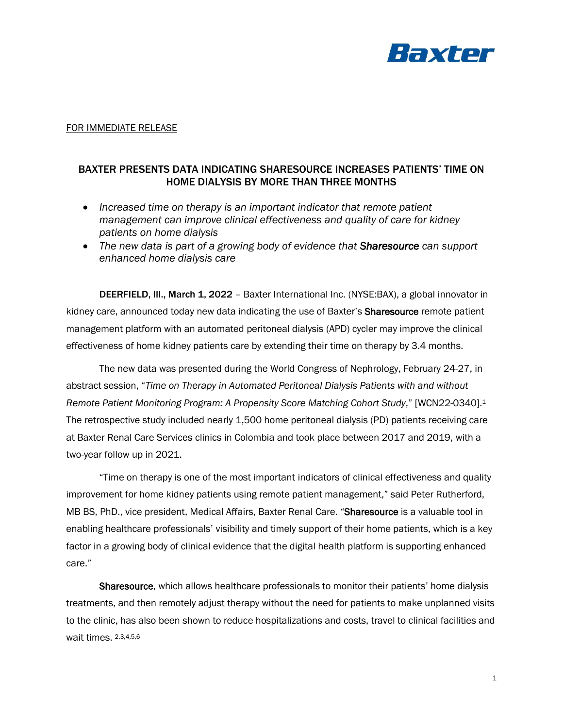

## FOR IMMEDIATE RELEASE

## BAXTER PRESENTS DATA INDICATING SHARESOURCE INCREASES PATIENTS' TIME ON HOME DIALYSIS BY MORE THAN THREE MONTHS

- *Increased time on therapy is an important indicator that remote patient management can improve clinical effectiveness and quality of care for kidney patients on home dialysis*
- *The new data is part of a growing body of evidence that Sharesource can support enhanced home dialysis care*

DEERFIELD, Ill., March 1, 2022 – Baxter International Inc. (NYSE:BAX), a global innovator in kidney care, announced today new data indicating the use of Baxter's Sharesource remote patient management platform with an automated peritoneal dialysis (APD) cycler may improve the clinical effectiveness of home kidney patients care by extending their time on therapy by 3.4 months.

The new data was presented during the World Congress of Nephrology, February 24-27, in abstract session, "*Time on Therapy in Automated Peritoneal Dialysis Patients with and without Remote Patient Monitoring Program: A Propensity Score Matching Cohort Study*," [WCN22-0340].<sup>1</sup> The retrospective study included nearly 1,500 home peritoneal dialysis (PD) patients receiving care at Baxter Renal Care Services clinics in Colombia and took place between 2017 and 2019, with a two-year follow up in 2021.

"Time on therapy is one of the most important indicators of clinical effectiveness and quality improvement for home kidney patients using remote patient management," said Peter Rutherford, MB BS, PhD., vice president, Medical Affairs, Baxter Renal Care. "Sharesource is a valuable tool in enabling healthcare professionals' visibility and timely support of their home patients, which is a key factor in a growing body of clinical evidence that the digital health platform is supporting enhanced care."

Sharesource, which allows healthcare professionals to monitor their patients' home dialysis treatments, and then remotely adjust therapy without the need for patients to make unplanned visits to the clinic, has also been shown to reduce hospitalizations and costs, travel to clinical facilities and wait times. 2,3,4,5,6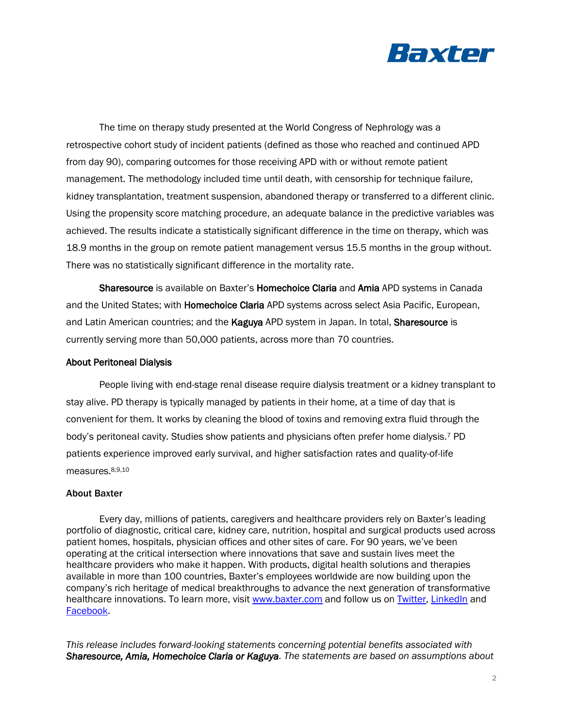

The time on therapy study presented at the World Congress of Nephrology was a retrospective cohort study of incident patients (defined as those who reached and continued APD from day 90), comparing outcomes for those receiving APD with or without remote patient management. The methodology included time until death, with censorship for technique failure, kidney transplantation, treatment suspension, abandoned therapy or transferred to a different clinic. Using the propensity score matching procedure, an adequate balance in the predictive variables was achieved. The results indicate a statistically significant difference in the time on therapy, which was 18.9 months in the group on remote patient management versus 15.5 months in the group without. There was no statistically significant difference in the mortality rate.

Sharesource is available on Baxter's Homechoice Claria and Amia APD systems in Canada and the United States; with **Homechoice Claria** APD systems across select Asia Pacific, European, and Latin American countries; and the Kaguya APD system in Japan. In total, Sharesource is currently serving more than 50,000 patients, across more than 70 countries.

## About Peritoneal Dialysis

People living with end-stage renal disease require dialysis treatment or a kidney transplant to stay alive. PD therapy is typically managed by patients in their home, at a time of day that is convenient for them. It works by cleaning the blood of toxins and removing extra fluid through the body's peritoneal cavity. Studies show patients and physicians often prefer home dialysis.<sup>7</sup> PD patients experience improved early survival, and higher satisfaction rates and quality-of-life measures.8,9,10

## About Baxter

Every day, millions of patients, caregivers and healthcare providers rely on Baxter's leading portfolio of diagnostic, critical care, kidney care, nutrition, hospital and surgical products used across patient homes, hospitals, physician offices and other sites of care. For 90 years, we've been operating at the critical intersection where innovations that save and sustain lives meet the healthcare providers who make it happen. With products, digital health solutions and therapies available in more than 100 countries, Baxter's employees worldwide are now building upon the company's rich heritage of medical breakthroughs to advance the next generation of transformative healthcare innovations. To learn more, visit [www.baxter.com](http://www.baxter.com/) and follow us on [Twitter,](https://twitter.com/baxter_intl) [LinkedIn](https://www.linkedin.com/company/baxter-healthcare/) and [Facebook.](https://www.facebook.com/BaxterInternationalInc/)

*This release includes forward-looking statements concerning potential benefits associated with Sharesource, Amia, Homechoice Claria or Kaguya. The statements are based on assumptions about*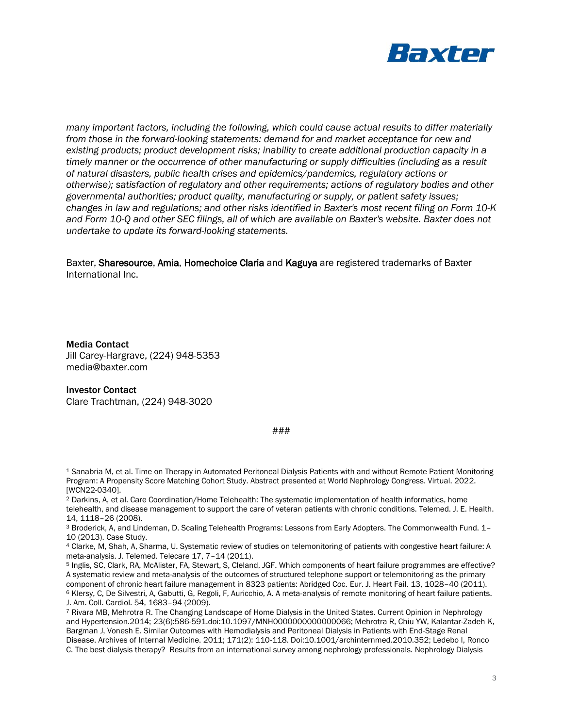

*many important factors, including the following, which could cause actual results to differ materially from those in the forward-looking statements: demand for and market acceptance for new and existing products; product development risks; inability to create additional production capacity in a timely manner or the occurrence of other manufacturing or supply difficulties (including as a result of natural disasters, public health crises and epidemics/pandemics, regulatory actions or otherwise); satisfaction of regulatory and other requirements; actions of regulatory bodies and other governmental authorities; product quality, manufacturing or supply, or patient safety issues; changes in law and regulations; and other risks identified in Baxter's most recent filing on Form 10-K and Form 10-Q and other SEC filings, all of which are available on Baxter's website. Baxter does not undertake to update its forward-looking statements.* 

Baxter, Sharesource, Amia, Homechoice Claria and Kaguya are registered trademarks of Baxter International Inc.

Media Contact Jill Carey-Hargrave, (224) 948-5353 media@baxter.com

Investor Contact Clare Trachtman, (224) 948-3020

###

<sup>1</sup> Sanabria M, et al. Time on Therapy in Automated Peritoneal Dialysis Patients with and without Remote Patient Monitoring Program: A Propensity Score Matching Cohort Study. Abstract presented at World Nephrology Congress. Virtual. 2022. [WCN22-0340].

<sup>2</sup> Darkins, A, et al. Care Coordination/Home Telehealth: The systematic implementation of health informatics, home telehealth, and disease management to support the care of veteran patients with chronic conditions. Telemed. J. E. Health. 14, 1118–26 (2008).

<sup>3</sup> Broderick, A, and Lindeman, D. Scaling Telehealth Programs: Lessons from Early Adopters. The Commonwealth Fund. 1– 10 (2013). Case Study.

<sup>4</sup> Clarke, M, Shah, A, Sharma, U. Systematic review of studies on telemonitoring of patients with congestive heart failure: A meta-analysis. J. Telemed. Telecare 17, 7–14 (2011).

<sup>5</sup> Inglis, SC, Clark, RA, McAlister, FA, Stewart, S, Cleland, JGF. Which components of heart failure programmes are effective? A systematic review and meta-analysis of the outcomes of structured telephone support or telemonitoring as the primary component of chronic heart failure management in 8323 patients: Abridged Coc. Eur. J. Heart Fail. 13, 1028–40 (2011). <sup>6</sup> Klersy, C, De Silvestri, A, Gabutti, G, Regoli, F, Auricchio, A. A meta-analysis of remote monitoring of heart failure patients. J. Am. Coll. Cardiol. 54, 1683–94 (2009).

<sup>7</sup> Rivara MB, Mehrotra R. The Changing Landscape of Home Dialysis in the United States. Current Opinion in Nephrology and Hypertension.2014; 23(6):586-591.doi:10.1097/MNH0000000000000066; Mehrotra R, Chiu YW, Kalantar-Zadeh K, Bargman J, Vonesh E. Similar Outcomes with Hemodialysis and Peritoneal Dialysis in Patients with End-Stage Renal Disease. Archives of Internal Medicine. 2011; 171(2): 110-118. Doi:10.1001/archinternmed.2010.352; Ledebo I, Ronco C. The best dialysis therapy? Results from an international survey among nephrology professionals. Nephrology Dialysis